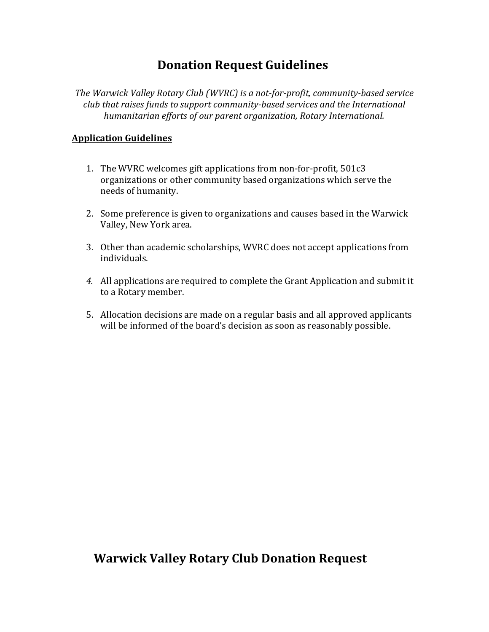## **Donation Request Guidelines**

*The Warwick Valley Rotary Club (WVRC) is a not-for-profit, community-based service club that raises funds to support community-based services and the International humanitarian efforts of our parent organization, Rotary International.* 

#### **Application Guidelines**

- 1. The WVRC welcomes gift applications from non-for-profit, 501c3 organizations or other community based organizations which serve the needs of humanity.
- 2. Some preference is given to organizations and causes based in the Warwick Valley, New York area.
- 3. Other than academic scholarships, WVRC does not accept applications from individuals.
- *4.* All applications are required to complete the Grant Application and submit it to a Rotary member.
- 5. Allocation decisions are made on a regular basis and all approved applicants will be informed of the board's decision as soon as reasonably possible.

### **Warwick Valley Rotary Club Donation Request**